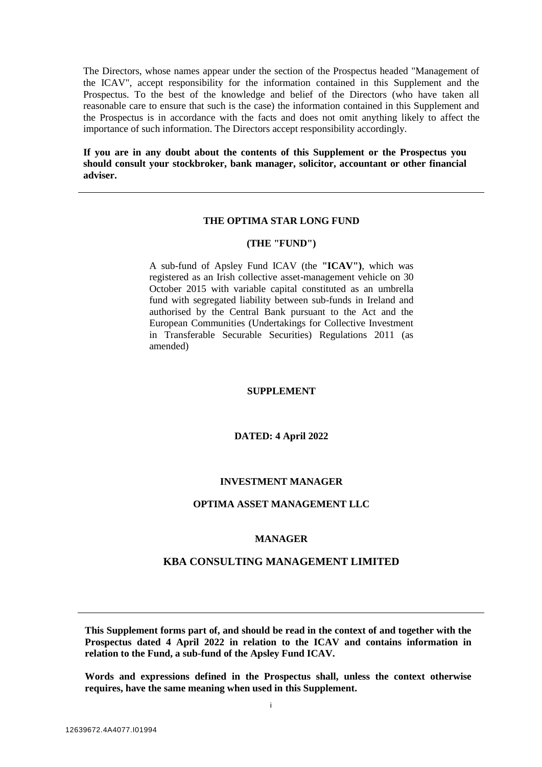The Directors, whose names appear under the section of the Prospectus headed "Management of the ICAV", accept responsibility for the information contained in this Supplement and the Prospectus. To the best of the knowledge and belief of the Directors (who have taken all reasonable care to ensure that such is the case) the information contained in this Supplement and the Prospectus is in accordance with the facts and does not omit anything likely to affect the importance of such information. The Directors accept responsibility accordingly.

**If you are in any doubt about the contents of this Supplement or the Prospectus you should consult your stockbroker, bank manager, solicitor, accountant or other financial adviser.**

# **THE OPTIMA STAR LONG FUND**

#### **(THE "FUND")**

A sub-fund of Apsley Fund ICAV (the **"ICAV")**, which was registered as an Irish collective asset-management vehicle on 30 October 2015 with variable capital constituted as an umbrella fund with segregated liability between sub-funds in Ireland and authorised by the Central Bank pursuant to the Act and the European Communities (Undertakings for Collective Investment in Transferable Securable Securities) Regulations 2011 (as amended)

#### **SUPPLEMENT**

#### **DATED: 4 April 2022**

#### **INVESTMENT MANAGER**

# **OPTIMA ASSET MANAGEMENT LLC**

#### **MANAGER**

# **KBA CONSULTING MANAGEMENT LIMITED**

**This Supplement forms part of, and should be read in the context of and together with the Prospectus dated 4 April 2022 in relation to the ICAV and contains information in relation to the Fund, a sub-fund of the Apsley Fund ICAV.** 

**Words and expressions defined in the Prospectus shall, unless the context otherwise requires, have the same meaning when used in this Supplement.**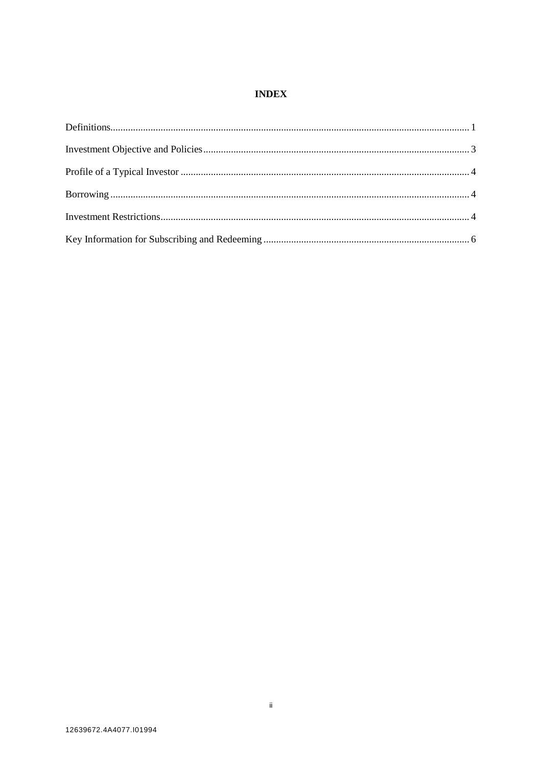## **INDEX**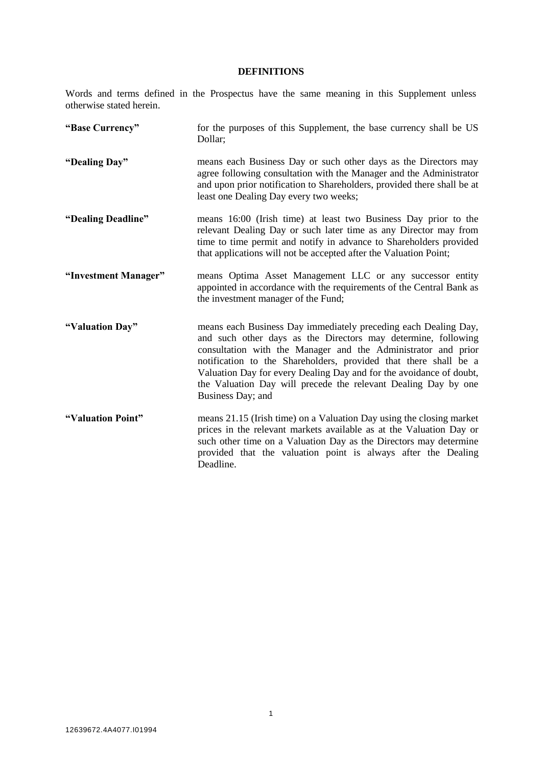# **DEFINITIONS**

<span id="page-2-0"></span>Words and terms defined in the Prospectus have the same meaning in this Supplement unless otherwise stated herein.

| "Base Currency"      | for the purposes of this Supplement, the base currency shall be US<br>Dollar;                                                                                                                                                                                                                                                                                                                                                       |
|----------------------|-------------------------------------------------------------------------------------------------------------------------------------------------------------------------------------------------------------------------------------------------------------------------------------------------------------------------------------------------------------------------------------------------------------------------------------|
| "Dealing Day"        | means each Business Day or such other days as the Directors may<br>agree following consultation with the Manager and the Administrator<br>and upon prior notification to Shareholders, provided there shall be at<br>least one Dealing Day every two weeks;                                                                                                                                                                         |
| "Dealing Deadline"   | means 16:00 (Irish time) at least two Business Day prior to the<br>relevant Dealing Day or such later time as any Director may from<br>time to time permit and notify in advance to Shareholders provided<br>that applications will not be accepted after the Valuation Point;                                                                                                                                                      |
| "Investment Manager" | means Optima Asset Management LLC or any successor entity<br>appointed in accordance with the requirements of the Central Bank as<br>the investment manager of the Fund;                                                                                                                                                                                                                                                            |
| "Valuation Day"      | means each Business Day immediately preceding each Dealing Day,<br>and such other days as the Directors may determine, following<br>consultation with the Manager and the Administrator and prior<br>notification to the Shareholders, provided that there shall be a<br>Valuation Day for every Dealing Day and for the avoidance of doubt,<br>the Valuation Day will precede the relevant Dealing Day by one<br>Business Day; and |
| "Valuation Point"    | means 21.15 (Irish time) on a Valuation Day using the closing market<br>prices in the relevant markets available as at the Valuation Day or<br>such other time on a Valuation Day as the Directors may determine<br>provided that the valuation point is always after the Dealing<br>Deadline.                                                                                                                                      |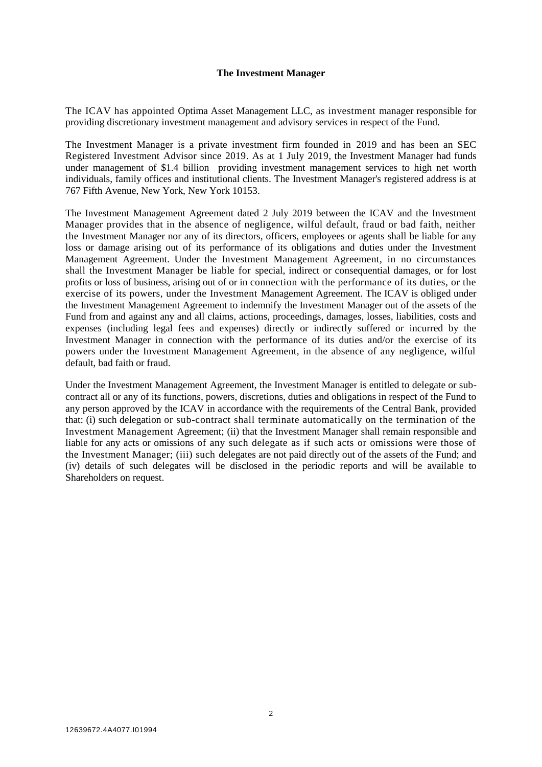#### **The Investment Manager**

The ICAV has appointed Optima Asset Management LLC, as investment manager responsible for providing discretionary investment management and advisory services in respect of the Fund.

The Investment Manager is a private investment firm founded in 2019 and has been an SEC Registered Investment Advisor since 2019. As at 1 July 2019, the Investment Manager had funds under management of \$1.4 billion providing investment management services to high net worth individuals, family offices and institutional clients. The Investment Manager's registered address is at 767 Fifth Avenue, New York, New York 10153.

The Investment Management Agreement dated 2 July 2019 between the ICAV and the Investment Manager provides that in the absence of negligence, wilful default, fraud or bad faith, neither the Investment Manager nor any of its directors, officers, employees or agents shall be liable for any loss or damage arising out of its performance of its obligations and duties under the Investment Management Agreement. Under the Investment Management Agreement, in no circumstances shall the Investment Manager be liable for special, indirect or consequential damages, or for lost profits or loss of business, arising out of or in connection with the performance of its duties, or the exercise of its powers, under the Investment Management Agreement. The ICAV is obliged under the Investment Management Agreement to indemnify the Investment Manager out of the assets of the Fund from and against any and all claims, actions, proceedings, damages, losses, liabilities, costs and expenses (including legal fees and expenses) directly or indirectly suffered or incurred by the Investment Manager in connection with the performance of its duties and/or the exercise of its powers under the Investment Management Agreement, in the absence of any negligence, wilful default, bad faith or fraud.

<span id="page-3-0"></span>Under the Investment Management Agreement, the Investment Manager is entitled to delegate or subcontract all or any of its functions, powers, discretions, duties and obligations in respect of the Fund to any person approved by the ICAV in accordance with the requirements of the Central Bank, provided that: (i) such delegation or sub-contract shall terminate automatically on the termination of the Investment Management Agreement; (ii) that the Investment Manager shall remain responsible and liable for any acts or omissions of any such delegate as if such acts or omissions were those of the Investment Manager; (iii) such delegates are not paid directly out of the assets of the Fund; and (iv) details of such delegates will be disclosed in the periodic reports and will be available to Shareholders on request.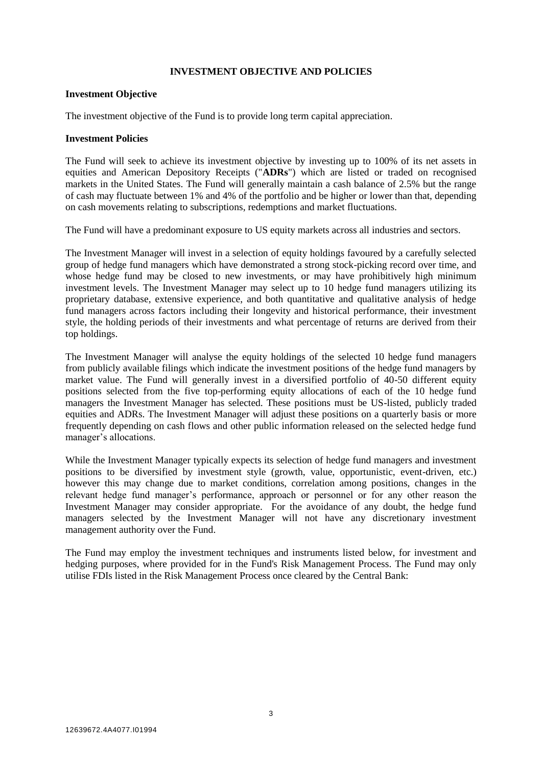### **INVESTMENT OBJECTIVE AND POLICIES**

### **Investment Objective**

The investment objective of the Fund is to provide long term capital appreciation.

#### **Investment Policies**

The Fund will seek to achieve its investment objective by investing up to 100% of its net assets in equities and American Depository Receipts ("**ADRs**") which are listed or traded on recognised markets in the United States. The Fund will generally maintain a cash balance of 2.5% but the range of cash may fluctuate between 1% and 4% of the portfolio and be higher or lower than that, depending on cash movements relating to subscriptions, redemptions and market fluctuations.

The Fund will have a predominant exposure to US equity markets across all industries and sectors.

The Investment Manager will invest in a selection of equity holdings favoured by a carefully selected group of hedge fund managers which have demonstrated a strong stock-picking record over time, and whose hedge fund may be closed to new investments, or may have prohibitively high minimum investment levels. The Investment Manager may select up to 10 hedge fund managers utilizing its proprietary database, extensive experience, and both quantitative and qualitative analysis of hedge fund managers across factors including their longevity and historical performance, their investment style, the holding periods of their investments and what percentage of returns are derived from their top holdings.

The Investment Manager will analyse the equity holdings of the selected 10 hedge fund managers from publicly available filings which indicate the investment positions of the hedge fund managers by market value. The Fund will generally invest in a diversified portfolio of 40-50 different equity positions selected from the five top-performing equity allocations of each of the 10 hedge fund managers the Investment Manager has selected. These positions must be US-listed, publicly traded equities and ADRs. The Investment Manager will adjust these positions on a quarterly basis or more frequently depending on cash flows and other public information released on the selected hedge fund manager's allocations.

While the Investment Manager typically expects its selection of hedge fund managers and investment positions to be diversified by investment style (growth, value, opportunistic, event-driven, etc.) however this may change due to market conditions, correlation among positions, changes in the relevant hedge fund manager's performance, approach or personnel or for any other reason the Investment Manager may consider appropriate. For the avoidance of any doubt, the hedge fund managers selected by the Investment Manager will not have any discretionary investment management authority over the Fund.

The Fund may employ the investment techniques and instruments listed below, for investment and hedging purposes, where provided for in the Fund's Risk Management Process. The Fund may only utilise FDIs listed in the Risk Management Process once cleared by the Central Bank: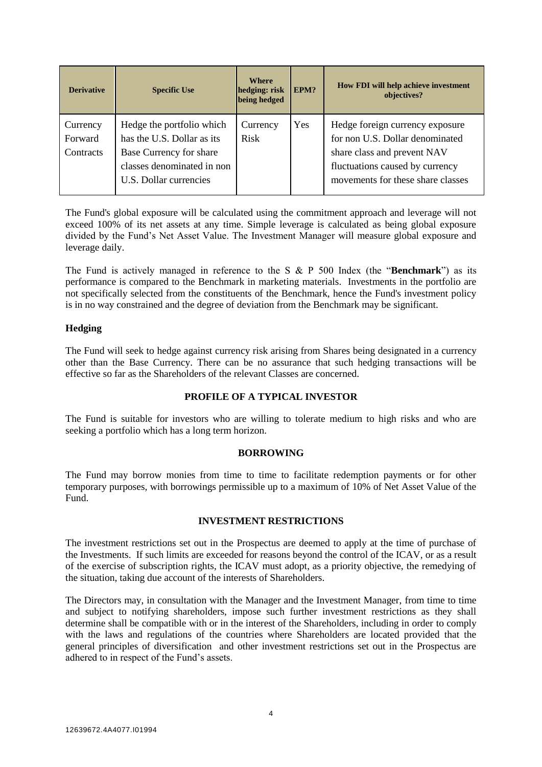| <b>Derivative</b>                | <b>Specific Use</b>                                                                                                                        | <b>Where</b><br>hedging: risk<br>being hedged | EPM? | How FDI will help achieve investment<br>objectives?                                                                                                                       |
|----------------------------------|--------------------------------------------------------------------------------------------------------------------------------------------|-----------------------------------------------|------|---------------------------------------------------------------------------------------------------------------------------------------------------------------------------|
| Currency<br>Forward<br>Contracts | Hedge the portfolio which<br>has the U.S. Dollar as its<br>Base Currency for share<br>classes denominated in non<br>U.S. Dollar currencies | Currency<br><b>Risk</b>                       | Yes  | Hedge foreign currency exposure<br>for non U.S. Dollar denominated<br>share class and prevent NAV<br>fluctuations caused by currency<br>movements for these share classes |

The Fund's global exposure will be calculated using the commitment approach and leverage will not exceed 100% of its net assets at any time. Simple leverage is calculated as being global exposure divided by the Fund's Net Asset Value. The Investment Manager will measure global exposure and leverage daily.

The Fund is actively managed in reference to the S & P 500 Index (the "**Benchmark**") as its performance is compared to the Benchmark in marketing materials. Investments in the portfolio are not specifically selected from the constituents of the Benchmark, hence the Fund's investment policy is in no way constrained and the degree of deviation from the Benchmark may be significant.

# **Hedging**

The Fund will seek to hedge against currency risk arising from Shares being designated in a currency other than the Base Currency. There can be no assurance that such hedging transactions will be effective so far as the Shareholders of the relevant Classes are concerned.

## **PROFILE OF A TYPICAL INVESTOR**

<span id="page-5-0"></span>The Fund is suitable for investors who are willing to tolerate medium to high risks and who are seeking a portfolio which has a long term horizon.

## **BORROWING**

<span id="page-5-2"></span><span id="page-5-1"></span>The Fund may borrow monies from time to time to facilitate redemption payments or for other temporary purposes, with borrowings permissible up to a maximum of 10% of Net Asset Value of the Fund.

## **INVESTMENT RESTRICTIONS**

The investment restrictions set out in the Prospectus are deemed to apply at the time of purchase of the Investments. If such limits are exceeded for reasons beyond the control of the ICAV, or as a result of the exercise of subscription rights, the ICAV must adopt, as a priority objective, the remedying of the situation, taking due account of the interests of Shareholders.

The Directors may, in consultation with the Manager and the Investment Manager, from time to time and subject to notifying shareholders, impose such further investment restrictions as they shall determine shall be compatible with or in the interest of the Shareholders, including in order to comply with the laws and regulations of the countries where Shareholders are located provided that the general principles of diversification and other investment restrictions set out in the Prospectus are adhered to in respect of the Fund's assets.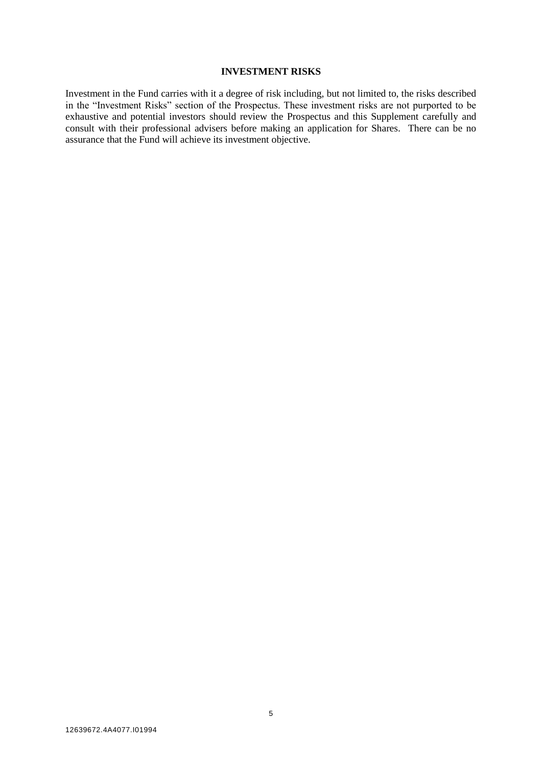#### **INVESTMENT RISKS**

<span id="page-6-0"></span>Investment in the Fund carries with it a degree of risk including, but not limited to, the risks described in the "Investment Risks" section of the Prospectus. These investment risks are not purported to be exhaustive and potential investors should review the Prospectus and this Supplement carefully and consult with their professional advisers before making an application for Shares. There can be no assurance that the Fund will achieve its investment objective.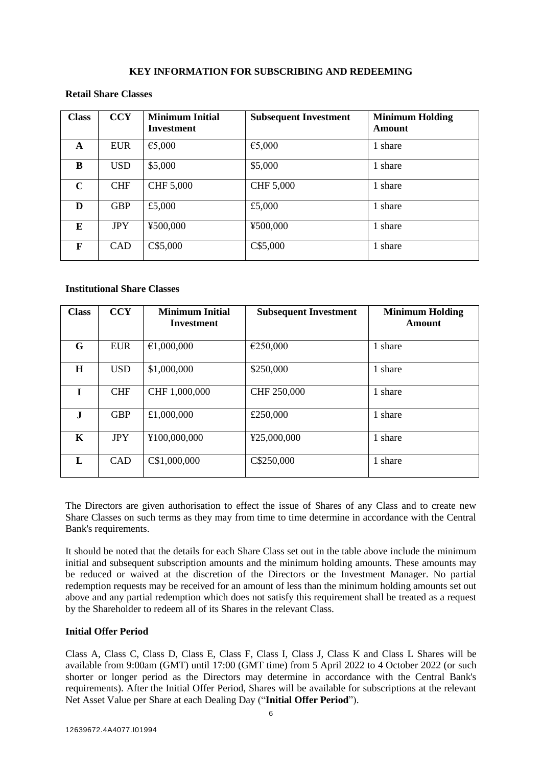### **KEY INFORMATION FOR SUBSCRIBING AND REDEEMING**

## **Retail Share Classes**

| <b>Class</b> | <b>CCY</b> | <b>Minimum Initial</b><br><b>Investment</b> | <b>Subsequent Investment</b> | <b>Minimum Holding</b><br>Amount |
|--------------|------------|---------------------------------------------|------------------------------|----------------------------------|
| A            | <b>EUR</b> | €5,000                                      | €5,000                       | 1 share                          |
| B            | <b>USD</b> | \$5,000                                     | \$5,000                      | 1 share                          |
| $\mathbf C$  | <b>CHF</b> | CHF 5,000                                   | CHF 5,000                    | 1 share                          |
| D            | <b>GBP</b> | £5,000                                      | £5,000                       | 1 share                          |
| E            | <b>JPY</b> | ¥500,000                                    | ¥500,000                     | 1 share                          |
| F            | CAD        | C\$5,000                                    | C\$5,000                     | 1 share                          |

### **Institutional Share Classes**

| <b>Class</b> | <b>CCY</b> | <b>Minimum Initial</b><br><b>Investment</b> | <b>Subsequent Investment</b> | <b>Minimum Holding</b><br>Amount |
|--------------|------------|---------------------------------------------|------------------------------|----------------------------------|
| G            | <b>EUR</b> | €1,000,000                                  | €250,000                     | 1 share                          |
| $\bf H$      | <b>USD</b> | \$1,000,000                                 | \$250,000                    | 1 share                          |
| T            | <b>CHF</b> | CHF 1,000,000                               | CHF 250,000                  | 1 share                          |
| $\mathbf{J}$ | <b>GBP</b> | £1,000,000                                  | £250,000                     | 1 share                          |
| $\mathbf K$  | <b>JPY</b> | ¥100,000,000                                | ¥25,000,000                  | 1 share                          |
| L            | <b>CAD</b> | C\$1,000,000                                | C\$250,000                   | 1 share                          |

The Directors are given authorisation to effect the issue of Shares of any Class and to create new Share Classes on such terms as they may from time to time determine in accordance with the Central Bank's requirements.

It should be noted that the details for each Share Class set out in the table above include the minimum initial and subsequent subscription amounts and the minimum holding amounts. These amounts may be reduced or waived at the discretion of the Directors or the Investment Manager. No partial redemption requests may be received for an amount of less than the minimum holding amounts set out above and any partial redemption which does not satisfy this requirement shall be treated as a request by the Shareholder to redeem all of its Shares in the relevant Class.

## **Initial Offer Period**

Class A, Class C, Class D, Class E, Class F, Class I, Class J, Class K and Class L Shares will be available from 9:00am (GMT) until 17:00 (GMT time) from 5 April 2022 to 4 October 2022 (or such shorter or longer period as the Directors may determine in accordance with the Central Bank's requirements). After the Initial Offer Period, Shares will be available for subscriptions at the relevant Net Asset Value per Share at each Dealing Day ("**Initial Offer Period**").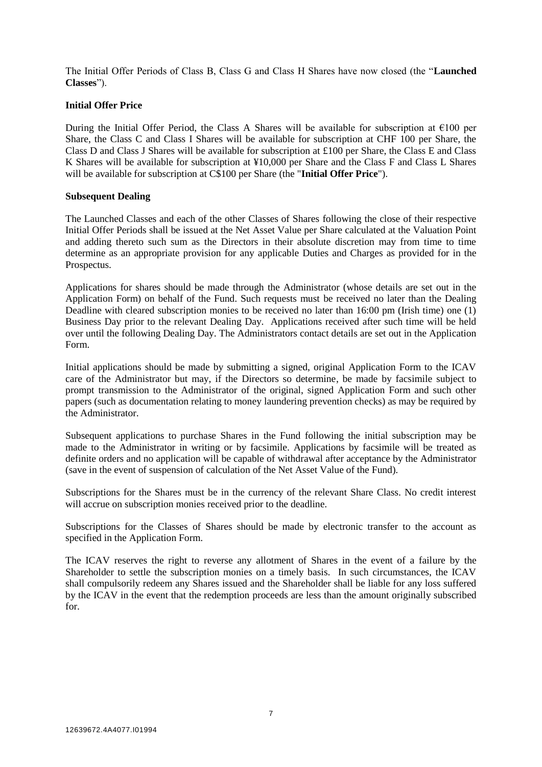The Initial Offer Periods of Class B, Class G and Class H Shares have now closed (the "**Launched Classes**").

## **Initial Offer Price**

During the Initial Offer Period, the Class A Shares will be available for subscription at  $\epsilon$ 100 per Share, the Class C and Class I Shares will be available for subscription at CHF 100 per Share, the Class D and Class J Shares will be available for subscription at £100 per Share, the Class E and Class K Shares will be available for subscription at ¥10,000 per Share and the Class F and Class L Shares will be available for subscription at C\$100 per Share (the "**Initial Offer Price**").

### **Subsequent Dealing**

The Launched Classes and each of the other Classes of Shares following the close of their respective Initial Offer Periods shall be issued at the Net Asset Value per Share calculated at the Valuation Point and adding thereto such sum as the Directors in their absolute discretion may from time to time determine as an appropriate provision for any applicable Duties and Charges as provided for in the Prospectus.

Applications for shares should be made through the Administrator (whose details are set out in the Application Form) on behalf of the Fund. Such requests must be received no later than the Dealing Deadline with cleared subscription monies to be received no later than 16:00 pm (Irish time) one (1) Business Day prior to the relevant Dealing Day. Applications received after such time will be held over until the following Dealing Day. The Administrators contact details are set out in the Application Form.

Initial applications should be made by submitting a signed, original Application Form to the ICAV care of the Administrator but may, if the Directors so determine, be made by facsimile subject to prompt transmission to the Administrator of the original, signed Application Form and such other papers (such as documentation relating to money laundering prevention checks) as may be required by the Administrator.

Subsequent applications to purchase Shares in the Fund following the initial subscription may be made to the Administrator in writing or by facsimile. Applications by facsimile will be treated as definite orders and no application will be capable of withdrawal after acceptance by the Administrator (save in the event of suspension of calculation of the Net Asset Value of the Fund).

Subscriptions for the Shares must be in the currency of the relevant Share Class. No credit interest will accrue on subscription monies received prior to the deadline*.*

Subscriptions for the Classes of Shares should be made by electronic transfer to the account as specified in the Application Form.

The ICAV reserves the right to reverse any allotment of Shares in the event of a failure by the Shareholder to settle the subscription monies on a timely basis. In such circumstances, the ICAV shall compulsorily redeem any Shares issued and the Shareholder shall be liable for any loss suffered by the ICAV in the event that the redemption proceeds are less than the amount originally subscribed for.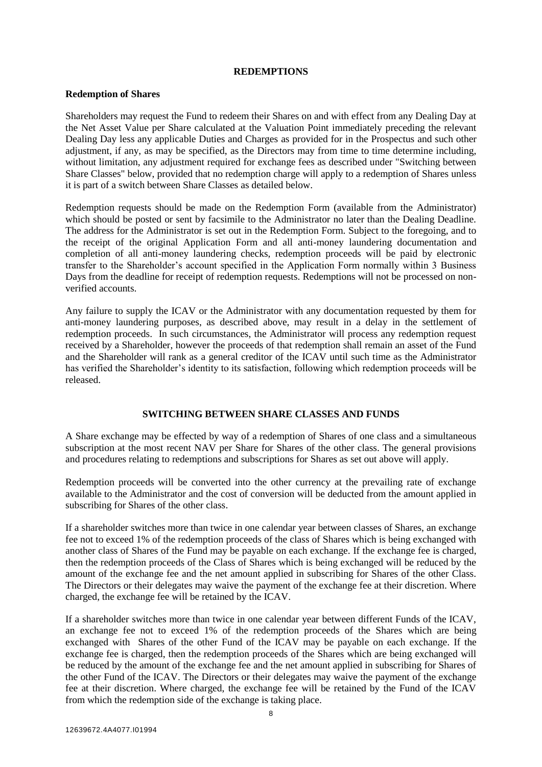#### **REDEMPTIONS**

#### **Redemption of Shares**

Shareholders may request the Fund to redeem their Shares on and with effect from any Dealing Day at the Net Asset Value per Share calculated at the Valuation Point immediately preceding the relevant Dealing Day less any applicable Duties and Charges as provided for in the Prospectus and such other adjustment, if any, as may be specified, as the Directors may from time to time determine including, without limitation, any adjustment required for exchange fees as described under "Switching between Share Classes" below, provided that no redemption charge will apply to a redemption of Shares unless it is part of a switch between Share Classes as detailed below.

Redemption requests should be made on the Redemption Form (available from the Administrator) which should be posted or sent by facsimile to the Administrator no later than the Dealing Deadline. The address for the Administrator is set out in the Redemption Form. Subject to the foregoing, and to the receipt of the original Application Form and all anti-money laundering documentation and completion of all anti-money laundering checks, redemption proceeds will be paid by electronic transfer to the Shareholder's account specified in the Application Form normally within 3 Business Days from the deadline for receipt of redemption requests. Redemptions will not be processed on nonverified accounts.

Any failure to supply the ICAV or the Administrator with any documentation requested by them for anti-money laundering purposes, as described above, may result in a delay in the settlement of redemption proceeds. In such circumstances, the Administrator will process any redemption request received by a Shareholder, however the proceeds of that redemption shall remain an asset of the Fund and the Shareholder will rank as a general creditor of the ICAV until such time as the Administrator has verified the Shareholder's identity to its satisfaction, following which redemption proceeds will be released.

## **SWITCHING BETWEEN SHARE CLASSES AND FUNDS**

A Share exchange may be effected by way of a redemption of Shares of one class and a simultaneous subscription at the most recent NAV per Share for Shares of the other class. The general provisions and procedures relating to redemptions and subscriptions for Shares as set out above will apply.

Redemption proceeds will be converted into the other currency at the prevailing rate of exchange available to the Administrator and the cost of conversion will be deducted from the amount applied in subscribing for Shares of the other class.

If a shareholder switches more than twice in one calendar year between classes of Shares, an exchange fee not to exceed 1% of the redemption proceeds of the class of Shares which is being exchanged with another class of Shares of the Fund may be payable on each exchange. If the exchange fee is charged, then the redemption proceeds of the Class of Shares which is being exchanged will be reduced by the amount of the exchange fee and the net amount applied in subscribing for Shares of the other Class. The Directors or their delegates may waive the payment of the exchange fee at their discretion. Where charged, the exchange fee will be retained by the ICAV.

If a shareholder switches more than twice in one calendar year between different Funds of the ICAV, an exchange fee not to exceed 1% of the redemption proceeds of the Shares which are being exchanged with Shares of the other Fund of the ICAV may be payable on each exchange. If the exchange fee is charged, then the redemption proceeds of the Shares which are being exchanged will be reduced by the amount of the exchange fee and the net amount applied in subscribing for Shares of the other Fund of the ICAV. The Directors or their delegates may waive the payment of the exchange fee at their discretion. Where charged, the exchange fee will be retained by the Fund of the ICAV from which the redemption side of the exchange is taking place.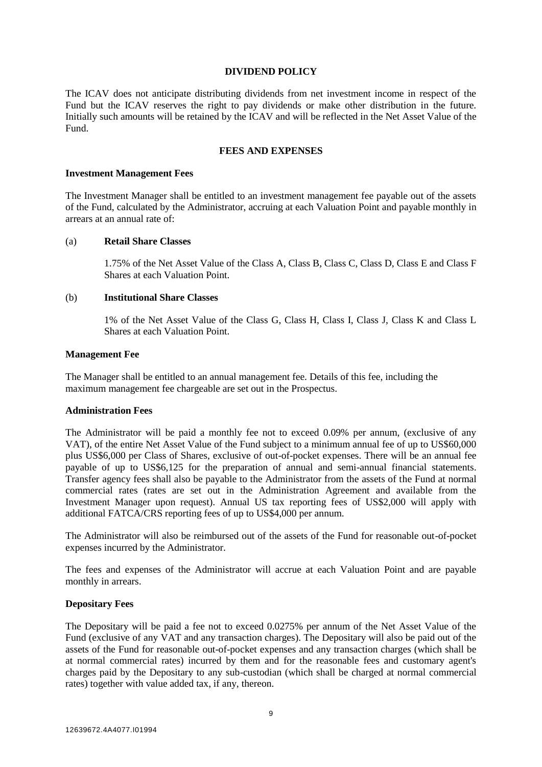#### **DIVIDEND POLICY**

The ICAV does not anticipate distributing dividends from net investment income in respect of the Fund but the ICAV reserves the right to pay dividends or make other distribution in the future. Initially such amounts will be retained by the ICAV and will be reflected in the Net Asset Value of the Fund.

### **FEES AND EXPENSES**

#### **Investment Management Fees**

The Investment Manager shall be entitled to an investment management fee payable out of the assets of the Fund, calculated by the Administrator, accruing at each Valuation Point and payable monthly in arrears at an annual rate of:

### (a) **Retail Share Classes**

1.75% of the Net Asset Value of the Class A, Class B, Class C, Class D, Class E and Class F Shares at each Valuation Point.

### (b) **Institutional Share Classes**

1% of the Net Asset Value of the Class G, Class H, Class I, Class J, Class K and Class L Shares at each Valuation Point.

# **Management Fee**

The Manager shall be entitled to an annual management fee. Details of this fee, including the maximum management fee chargeable are set out in the Prospectus.

## **Administration Fees**

The Administrator will be paid a monthly fee not to exceed 0.09% per annum, (exclusive of any VAT), of the entire Net Asset Value of the Fund subject to a minimum annual fee of up to US\$60,000 plus US\$6,000 per Class of Shares, exclusive of out-of-pocket expenses. There will be an annual fee payable of up to US\$6,125 for the preparation of annual and semi-annual financial statements. Transfer agency fees shall also be payable to the Administrator from the assets of the Fund at normal commercial rates (rates are set out in the Administration Agreement and available from the Investment Manager upon request). Annual US tax reporting fees of US\$2,000 will apply with additional FATCA/CRS reporting fees of up to US\$4,000 per annum.

The Administrator will also be reimbursed out of the assets of the Fund for reasonable out-of-pocket expenses incurred by the Administrator.

The fees and expenses of the Administrator will accrue at each Valuation Point and are payable monthly in arrears.

## **Depositary Fees**

The Depositary will be paid a fee not to exceed 0.0275% per annum of the Net Asset Value of the Fund (exclusive of any VAT and any transaction charges). The Depositary will also be paid out of the assets of the Fund for reasonable out-of-pocket expenses and any transaction charges (which shall be at normal commercial rates) incurred by them and for the reasonable fees and customary agent's charges paid by the Depositary to any sub-custodian (which shall be charged at normal commercial rates) together with value added tax, if any, thereon.